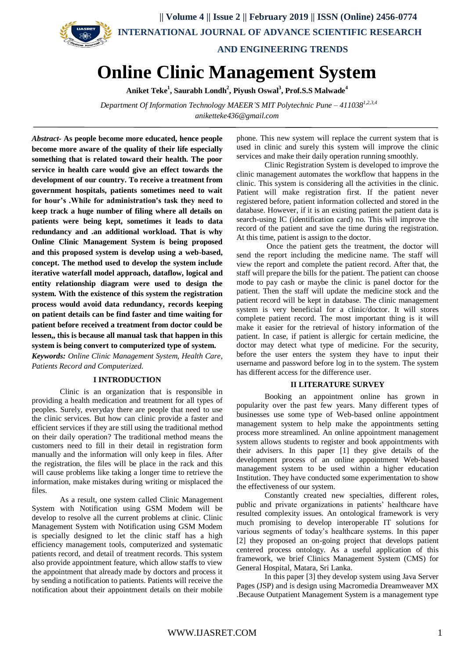

**Online Clinic Management System**

**Aniket Teke<sup>1</sup> , Saurabh Londh<sup>2</sup> , Piyush Oswal<sup>3</sup> , Prof.S.S Malwade<sup>4</sup>**

 *Department Of Information Technology MAEER'S MIT Polytechnic Pune – 4110381,2,3,4 aniketteke436@gmail.com*

*Abstract***- As people become more educated, hence people become more aware of the quality of their life especially something that is related toward their health. The poor service in health care would give an effect towards the development of our country. To receive a treatment from government hospitals, patients sometimes need to wait for hour's .While for administration's task they need to keep track a huge number of filing where all details on patients were being kept, sometimes it leads to data redundancy and .an additional workload. That is why Online Clinic Management System is being proposed and this proposed system is develop using a web-based, concept. The method used to develop the system include iterative waterfall model approach, dataflow, logical and entity relationship diagram were used to design the system. With the existence of this system the registration process would avoid data redundancy, records keeping on patient details can be find faster and time waiting for patient before received a treatment from doctor could be lessen,, this is because all manual task that happen in this system is being convert to computerized type of system.** *Keywords: Online Clinic Management System, Health Care,* 

*Patients Record and Computerized.*

## **I INTRODUCTION**

Clinic is an organization that is responsible in providing a health medication and treatment for all types of peoples. Surely, everyday there are people that need to use the clinic services. But how can clinic provide a faster and efficient services if they are still using the traditional method on their daily operation? The traditional method means the customers need to fill in their detail in registration form manually and the information will only keep in files. After the registration, the files will be place in the rack and this will cause problems like taking a longer time to retrieve the information, make mistakes during writing or misplaced the files.

As a result, one system called Clinic Management System with Notification using GSM Modem will be develop to resolve all the current problems at clinic. Clinic Management System with Notification using GSM Modem is specially designed to let the clinic staff has a high efficiency management tools, computerized and systematic patients record, and detail of treatment records. This system also provide appointment feature, which allow staffs to view the appointment that already made by doctors and process it by sending a notification to patients. Patients will receive the notification about their appointment details on their mobile

phone. This new system will replace the current system that is used in clinic and surely this system will improve the clinic services and make their daily operation running smoothly.

Clinic Registration System is developed to improve the clinic management automates the workflow that happens in the clinic. This system is considering all the activities in the clinic. Patient will make registration first. If the patient never registered before, patient information collected and stored in the database. However, if it is an existing patient the patient data is search-using IC (identification card) no. This will improve the record of the patient and save the time during the registration. At this time, patient is assign to the doctor.

Once the patient gets the treatment, the doctor will send the report including the medicine name. The staff will view the report and complete the patient record. After that, the staff will prepare the bills for the patient. The patient can choose mode to pay cash or maybe the clinic is panel doctor for the patient. Then the staff will update the medicine stock and the patient record will be kept in database. The clinic management system is very beneficial for a clinic/doctor. It will stores complete patient record. The most important thing is it will make it easier for the retrieval of history information of the patient. In case, if patient is allergic for certain medicine, the doctor may detect what type of medicine. For the security, before the user enters the system they have to input their username and password before log in to the system. The system has different access for the difference user.

#### **II LITERATURE SURVEY**

Booking an appointment online has grown in popularity over the past few years. Many different types of businesses use some type of Web-based online appointment management system to help make the appointments setting process more streamlined. An online appointment management system allows students to register and book appointments with their advisers. In this paper [1] they give details of the development process of an online appointment Web-based management system to be used within a higher education Institution. They have conducted some experimentation to show the effectiveness of our system.

Constantly created new specialties, different roles, public and private organizations in patients' healthcare have resulted complexity issues. An ontological framework is very much promising to develop interoperable IT solutions for various segments of today's healthcare systems. In this paper [2] they proposed an on-going project that develops patient centered process ontology. As a useful application of this framework, we brief Clinics Management System (CMS) for General Hospital, Matara, Sri Lanka.

In this paper [3] they develop system using Java Server Pages (JSP) and is design using Macromedia Dreamweaver MX .Because Outpatient Management System is a management type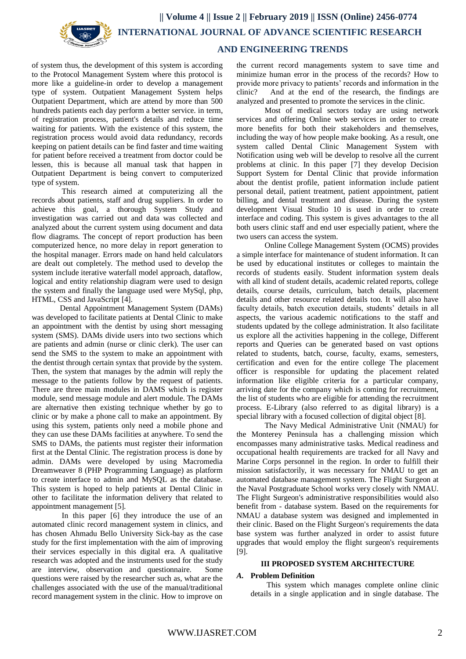

 **AND ENGINEERING TRENDS**

of system thus, the development of this system is according to the Protocol Management System where this protocol is more like a guideline-in order to develop a management type of system. Outpatient Management System helps Outpatient Department, which are attend by more than 500 hundreds patients each day perform a better service. in term, of registration process, patient's details and reduce time waiting for patients. With the existence of this system, the registration process would avoid data redundancy, records keeping on patient details can be find faster and time waiting for patient before received a treatment from doctor could be lessen, this is because all manual task that happen in Outpatient Department is being convert to computerized type of system.

This research aimed at computerizing all the records about patients, staff and drug suppliers. In order to achieve this goal, a thorough System Study and investigation was carried out and data was collected and analyzed about the current system using document and data flow diagrams. The concept of report production has been computerized hence, no more delay in report generation to the hospital manager. Errors made on hand held calculators are dealt out completely. The method used to develop the system include iterative waterfall model approach, dataflow, logical and entity relationship diagram were used to design the system and finally the language used were MySql, php, HTML, CSS and JavaScript [4].

Dental Appointment Management System (DAMs) was developed to facilitate patients at Dental Clinic to make an appointment with the dentist by using short messaging system (SMS). DAMs divide users into two sections which are patients and admin (nurse or clinic clerk). The user can send the SMS to the system to make an appointment with the dentist through certain syntax that provide by the system. Then, the system that manages by the admin will reply the message to the patients follow by the request of patients. There are three main modules in DAMS which is register module, send message module and alert module. The DAMs are alternative then existing technique whether by go to clinic or by make a phone call to make an appointment. By using this system, patients only need a mobile phone and they can use these DAMs facilities at anywhere. To send the SMS to DAMs, the patients must register their information first at the Dental Clinic. The registration process is done by admin. DAMs were developed by using Macromedia Dreamweaver 8 (PHP Programming Language) as platform to create interface to admin and MySQL as the database. This system is hoped to help patients at Dental Clinic in other to facilitate the information delivery that related to appointment management [5].

In this paper [6] they introduce the use of an automated clinic record management system in clinics, and has chosen Ahmadu Bello University Sick-bay as the case study for the first implementation with the aim of improving their services especially in this digital era. A qualitative research was adopted and the instruments used for the study are interview, observation and questionnaire. Some questions were raised by the researcher such as, what are the challenges associated with the use of the manual/traditional record management system in the clinic. How to improve on

the current record managements system to save time and minimize human error in the process of the records? How to provide more privacy to patients' records and information in the clinic? And at the end of the research, the findings are analyzed and presented to promote the services in the clinic.

Most of medical sectors today are using network services and offering Online web services in order to create more benefits for both their stakeholders and themselves, including the way of how people make booking. As a result, one system called Dental Clinic Management System with Notification using web will be develop to resolve all the current problems at clinic. In this paper [7] they develop Decision Support System for Dental Clinic that provide information about the dentist profile, patient information include patient personal detail, patient treatment, patient appointment, patient billing, and dental treatment and disease. During the system development Visual Studio 10 is used in order to create interface and coding. This system is gives advantages to the all both users clinic staff and end user especially patient, where the two users can access the system.

Online College Management System (OCMS) provides a simple interface for maintenance of student information. It can be used by educational institutes or colleges to maintain the records of students easily. Student information system deals with all kind of student details, academic related reports, college details, course details, curriculum, batch details, placement details and other resource related details too. It will also have faculty details, batch execution details, students' details in all aspects, the various academic notifications to the staff and students updated by the college administration. It also facilitate us explore all the activities happening in the college, Different reports and Queries can be generated based on vast options related to students, batch, course, faculty, exams, semesters, certification and even for the entire college The placement officer is responsible for updating the placement related information like eligible criteria for a particular company, arriving date for the company which is coming for recruitment, the list of students who are eligible for attending the recruitment process. E-Library (also referred to as digital library) is a special library with a focused collection of digital object [8].

The Navy Medical Administrative Unit (NMAU) for the Monterey Peninsula has a challenging mission which encompasses many administrative tasks. Medical readiness and occupational health requirements are tracked for all Navy and Marine Corps personnel in the region. In order to fulfill their mission satisfactorily, it was necessary for NMAU to get an automated database management system. The Flight Surgeon at the Naval Postgraduate School works very closely with NMAU. The Flight Surgeon's administrative responsibilities would also benefit from - database system. Based on the requirements for NMAU a database system was designed and implemented in their clinic. Based on the Flight Surgeon's requirements the data base system was further analyzed in order to assist future upgrades that would employ the flight surgeon's requirements [9].

## **III PROPOSED SYSTEM ARCHITECTURE**

## *A.* **Problem Definition**

This system which manages complete online clinic details in a single application and in single database. The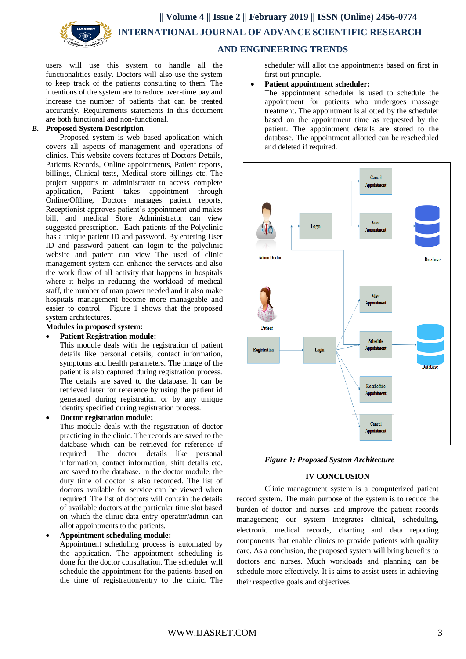**|| Volume 4 || Issue 2 || February 2019 || ISSN (Online) 2456-0774 INTERNATIONAL JOURNAL OF ADVANCE SCIENTIFIC RESEARCH** 

 **AND ENGINEERING TRENDS**

users will use this system to handle all the functionalities easily. Doctors will also use the system to keep track of the patients consulting to them. The intentions of the system are to reduce over-time pay and increase the number of patients that can be treated accurately. Requirements statements in this document are both functional and non-functional.

#### *B.* **Proposed System Description**

Proposed system is web based application which covers all aspects of management and operations of clinics. This website covers features of Doctors Details, Patients Records, Online appointments, Patient reports, billings, Clinical tests, Medical store billings etc. The project supports to administrator to access complete application, Patient takes appointment through Online/Offline, Doctors manages patient reports, Receptionist approves patient's appointment and makes bill, and medical Store Administrator can view suggested prescription. Each patients of the Polyclinic has a unique patient ID and password. By entering User ID and password patient can login to the polyclinic website and patient can view The used of clinic management system can enhance the services and also the work flow of all activity that happens in hospitals where it helps in reducing the workload of medical staff, the number of man power needed and it also make hospitals management become more manageable and easier to control. Figure 1 shows that the proposed system architectures.

#### **Modules in proposed system:**

**Patient Registration module:**

This module deals with the registration of patient details like personal details, contact information, symptoms and health parameters. The image of the patient is also captured during registration process. The details are saved to the database. It can be retrieved later for reference by using the patient id generated during registration or by any unique identity specified during registration process.

**Doctor registration module:**

This module deals with the registration of doctor practicing in the clinic. The records are saved to the database which can be retrieved for reference if required. The doctor details like personal information, contact information, shift details etc. are saved to the database. In the doctor module, the duty time of doctor is also recorded. The list of doctors available for service can be viewed when required. The list of doctors will contain the details of available doctors at the particular time slot based on which the clinic data entry operator/admin can allot appointments to the patients.

**Appointment scheduling module:**

Appointment scheduling process is automated by the application. The appointment scheduling is done for the doctor consultation. The scheduler will schedule the appointment for the patients based on the time of registration/entry to the clinic. The

scheduler will allot the appointments based on first in first out principle.

**Patient appointment scheduler:**

The appointment scheduler is used to schedule the appointment for patients who undergoes massage treatment. The appointment is allotted by the scheduler based on the appointment time as requested by the patient. The appointment details are stored to the database. The appointment allotted can be rescheduled and deleted if required.





## **IV CONCLUSION**

Clinic management system is a computerized patient record system. The main purpose of the system is to reduce the burden of doctor and nurses and improve the patient records management; our system integrates clinical, scheduling, electronic medical records, charting and data reporting components that enable clinics to provide patients with quality care. As a conclusion, the proposed system will bring benefits to doctors and nurses. Much workloads and planning can be schedule more effectively. It is aims to assist users in achieving their respective goals and objectives